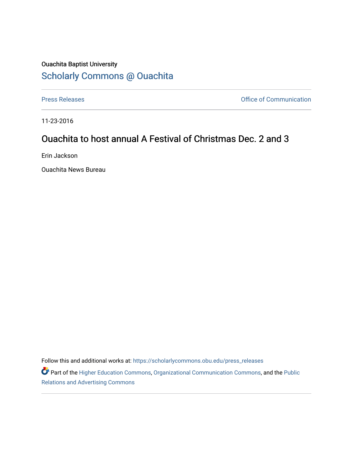## Ouachita Baptist University [Scholarly Commons @ Ouachita](https://scholarlycommons.obu.edu/)

[Press Releases](https://scholarlycommons.obu.edu/press_releases) **Press Releases Communication** 

11-23-2016

## Ouachita to host annual A Festival of Christmas Dec. 2 and 3

Erin Jackson

Ouachita News Bureau

Follow this and additional works at: [https://scholarlycommons.obu.edu/press\\_releases](https://scholarlycommons.obu.edu/press_releases?utm_source=scholarlycommons.obu.edu%2Fpress_releases%2F827&utm_medium=PDF&utm_campaign=PDFCoverPages)

Part of the [Higher Education Commons,](http://network.bepress.com/hgg/discipline/1245?utm_source=scholarlycommons.obu.edu%2Fpress_releases%2F827&utm_medium=PDF&utm_campaign=PDFCoverPages) [Organizational Communication Commons,](http://network.bepress.com/hgg/discipline/335?utm_source=scholarlycommons.obu.edu%2Fpress_releases%2F827&utm_medium=PDF&utm_campaign=PDFCoverPages) and the [Public](http://network.bepress.com/hgg/discipline/336?utm_source=scholarlycommons.obu.edu%2Fpress_releases%2F827&utm_medium=PDF&utm_campaign=PDFCoverPages) [Relations and Advertising Commons](http://network.bepress.com/hgg/discipline/336?utm_source=scholarlycommons.obu.edu%2Fpress_releases%2F827&utm_medium=PDF&utm_campaign=PDFCoverPages)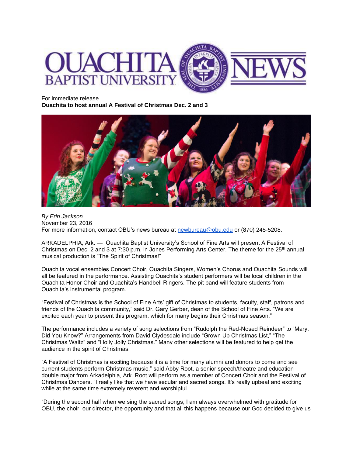

For immediate release

**Ouachita to host annual A Festival of Christmas Dec. 2 and 3**



*By Erin Jackson* November 23, 2016 For more information, contact OBU's news bureau at [newbureau@obu.edu](mailto:newbureau@obu.edu) or (870) 245-5208.

ARKADELPHIA, Ark. — Ouachita Baptist University's School of Fine Arts will present A Festival of Christmas on Dec. 2 and 3 at 7:30 p.m. in Jones Performing Arts Center. The theme for the  $25<sup>th</sup>$  annual musical production is "The Spirit of Christmas!"

Ouachita vocal ensembles Concert Choir, Ouachita Singers, Women's Chorus and Ouachita Sounds will all be featured in the performance. Assisting Ouachita's student performers will be local children in the Ouachita Honor Choir and Ouachita's Handbell Ringers. The pit band will feature students from Ouachita's instrumental program.

"Festival of Christmas is the School of Fine Arts' gift of Christmas to students, faculty, staff, patrons and friends of the Ouachita community," said Dr. Gary Gerber, dean of the School of Fine Arts. "We are excited each year to present this program, which for many begins their Christmas season."

The performance includes a variety of song selections from "Rudolph the Red-Nosed Reindeer" to "Mary, Did You Know?" Arrangements from David Clydesdale include "Grown Up Christmas List," "The Christmas Waltz" and "Holly Jolly Christmas." Many other selections will be featured to help get the audience in the spirit of Christmas.

"A Festival of Christmas is exciting because it is a time for many alumni and donors to come and see current students perform Christmas music," said Abby Root, a senior speech/theatre and education double major from Arkadelphia, Ark. Root will perform as a member of Concert Choir and the Festival of Christmas Dancers. "I really like that we have secular and sacred songs. It's really upbeat and exciting while at the same time extremely reverent and worshipful.

"During the second half when we sing the sacred songs, I am always overwhelmed with gratitude for OBU, the choir, our director, the opportunity and that all this happens because our God decided to give us